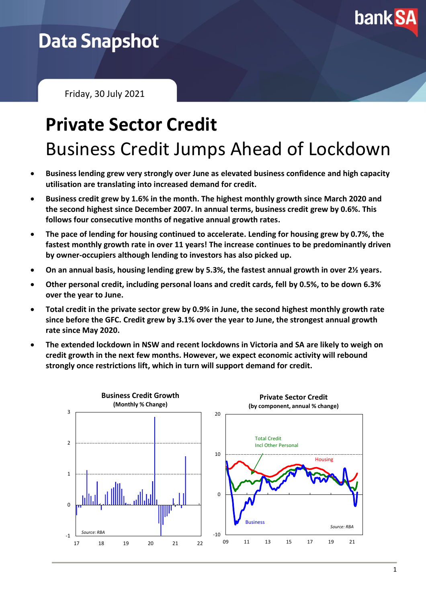

## **Data Snapshot**

Friday, 30 July 2021

# **Private Sector Credit** Business Credit Jumps Ahead of Lockdown

- **Business lending grew very strongly over June as elevated business confidence and high capacity utilisation are translating into increased demand for credit.**
- **Business credit grew by 1.6% in the month. The highest monthly growth since March 2020 and the second highest since December 2007. In annual terms, business credit grew by 0.6%. This follows four consecutive months of negative annual growth rates.**
- **The pace of lending for housing continued to accelerate. Lending for housing grew by 0.7%, the fastest monthly growth rate in over 11 years! The increase continues to be predominantly driven by owner-occupiers although lending to investors has also picked up.**
- **On an annual basis, housing lending grew by 5.3%, the fastest annual growth in over 2½ years.**
- **Other personal credit, including personal loans and credit cards, fell by 0.5%, to be down 6.3% over the year to June.**
- **Total credit in the private sector grew by 0.9% in June, the second highest monthly growth rate since before the GFC. Credit grew by 3.1% over the year to June, the strongest annual growth rate since May 2020.**
- **The extended lockdown in NSW and recent lockdowns in Victoria and SA are likely to weigh on credit growth in the next few months. However, we expect economic activity will rebound strongly once restrictions lift, which in turn will support demand for credit.**

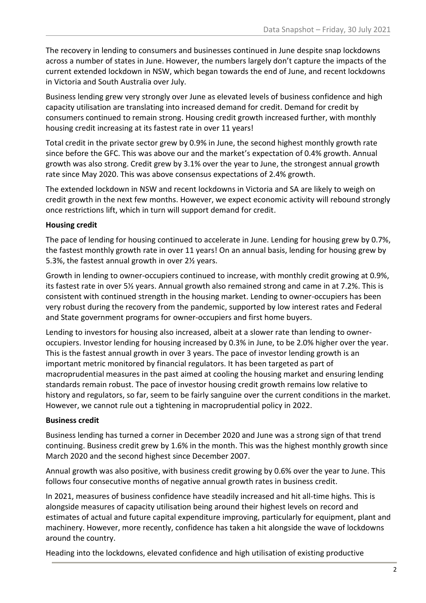The recovery in lending to consumers and businesses continued in June despite snap lockdowns across a number of states in June. However, the numbers largely don't capture the impacts of the current extended lockdown in NSW, which began towards the end of June, and recent lockdowns in Victoria and South Australia over July.

Business lending grew very strongly over June as elevated levels of business confidence and high capacity utilisation are translating into increased demand for credit. Demand for credit by consumers continued to remain strong. Housing credit growth increased further, with monthly housing credit increasing at its fastest rate in over 11 years!

Total credit in the private sector grew by 0.9% in June, the second highest monthly growth rate since before the GFC. This was above our and the market's expectation of 0.4% growth. Annual growth was also strong. Credit grew by 3.1% over the year to June, the strongest annual growth rate since May 2020. This was above consensus expectations of 2.4% growth.

The extended lockdown in NSW and recent lockdowns in Victoria and SA are likely to weigh on credit growth in the next few months. However, we expect economic activity will rebound strongly once restrictions lift, which in turn will support demand for credit.

#### **Housing credit**

The pace of lending for housing continued to accelerate in June. Lending for housing grew by 0.7%, the fastest monthly growth rate in over 11 years! On an annual basis, lending for housing grew by 5.3%, the fastest annual growth in over 2½ years.

Growth in lending to owner-occupiers continued to increase, with monthly credit growing at 0.9%, its fastest rate in over 5½ years. Annual growth also remained strong and came in at 7.2%. This is consistent with continued strength in the housing market. Lending to owner-occupiers has been very robust during the recovery from the pandemic, supported by low interest rates and Federal and State government programs for owner-occupiers and first home buyers.

Lending to investors for housing also increased, albeit at a slower rate than lending to owneroccupiers. Investor lending for housing increased by 0.3% in June, to be 2.0% higher over the year. This is the fastest annual growth in over 3 years. The pace of investor lending growth is an important metric monitored by financial regulators. It has been targeted as part of macroprudential measures in the past aimed at cooling the housing market and ensuring lending standards remain robust. The pace of investor housing credit growth remains low relative to history and regulators, so far, seem to be fairly sanguine over the current conditions in the market. However, we cannot rule out a tightening in macroprudential policy in 2022.

#### **Business credit**

Business lending has turned a corner in December 2020 and June was a strong sign of that trend continuing. Business credit grew by 1.6% in the month. This was the highest monthly growth since March 2020 and the second highest since December 2007.

Annual growth was also positive, with business credit growing by 0.6% over the year to June. This follows four consecutive months of negative annual growth rates in business credit.

In 2021, measures of business confidence have steadily increased and hit all-time highs. This is alongside measures of capacity utilisation being around their highest levels on record and estimates of actual and future capital expenditure improving, particularly for equipment, plant and machinery. However, more recently, confidence has taken a hit alongside the wave of lockdowns around the country.

Heading into the lockdowns, elevated confidence and high utilisation of existing productive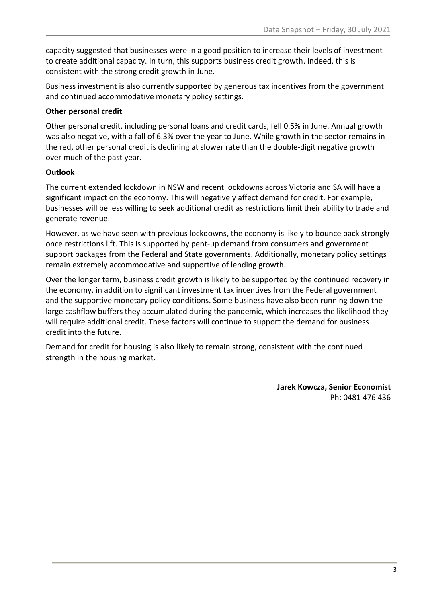capacity suggested that businesses were in a good position to increase their levels of investment to create additional capacity. In turn, this supports business credit growth. Indeed, this is consistent with the strong credit growth in June.

Business investment is also currently supported by generous tax incentives from the government and continued accommodative monetary policy settings.

### **Other personal credit**

Other personal credit, including personal loans and credit cards, fell 0.5% in June. Annual growth was also negative, with a fall of 6.3% over the year to June. While growth in the sector remains in the red, other personal credit is declining at slower rate than the double-digit negative growth over much of the past year.

### **Outlook**

The current extended lockdown in NSW and recent lockdowns across Victoria and SA will have a significant impact on the economy. This will negatively affect demand for credit. For example, businesses will be less willing to seek additional credit as restrictions limit their ability to trade and generate revenue.

However, as we have seen with previous lockdowns, the economy is likely to bounce back strongly once restrictions lift. This is supported by pent-up demand from consumers and government support packages from the Federal and State governments. Additionally, monetary policy settings remain extremely accommodative and supportive of lending growth.

Over the longer term, business credit growth is likely to be supported by the continued recovery in the economy, in addition to significant investment tax incentives from the Federal government and the supportive monetary policy conditions. Some business have also been running down the large cashflow buffers they accumulated during the pandemic, which increases the likelihood they will require additional credit. These factors will continue to support the demand for business credit into the future.

Demand for credit for housing is also likely to remain strong, consistent with the continued strength in the housing market.

> **Jarek Kowcza, Senior Economist** Ph: 0481 476 436